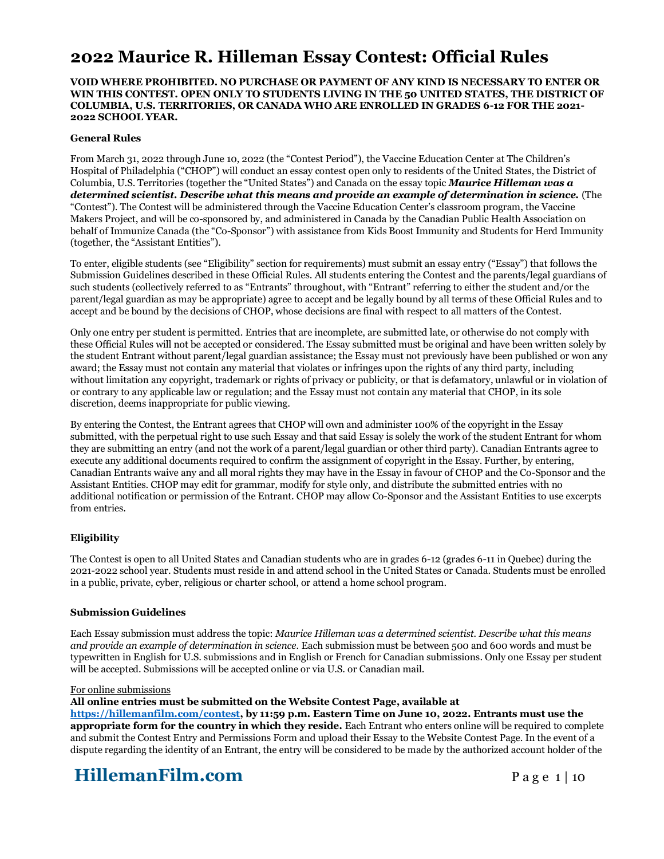# **2022 Maurice R. Hilleman Essay Contest: Official Rules**

### **VOID WHERE PROHIBITED. NO PURCHASE OR PAYMENT OF ANY KIND IS NECESSARY TO ENTER OR WIN THIS CONTEST. OPEN ONLY TO STUDENTS LIVING IN THE 50 UNITED STATES, THE DISTRICT OF COLUMBIA, U.S. TERRITORIES, OR CANADA WHO ARE ENROLLED IN GRADES 6-12 FOR THE 2021- 2022 SCHOOL YEAR.**

### **General Rules**

From March 31, 2022 through June 10, 2022 (the "Contest Period"), the Vaccine Education Center at The Children's Hospital of Philadelphia ("CHOP") will conduct an essay contest open only to residents of the United States, the District of Columbia, U.S. Territories (together the "United States") and Canada on the essay topic *Maurice Hilleman was a determined scientist. Describe what this means and provide an example of determination in science.* (The "Contest"). The Contest will be administered through the Vaccine Education Center's classroom program, the Vaccine Makers Project, and will be co-sponsored by, and administered in Canada by the Canadian Public Health Association on behalf of Immunize Canada (the "Co-Sponsor") with assistance from Kids Boost Immunity and Students for Herd Immunity (together, the "Assistant Entities").

To enter, eligible students (see "Eligibility" section for requirements) must submit an essay entry ("Essay") that follows the Submission Guidelines described in these Official Rules. All students entering the Contest and the parents/legal guardians of such students (collectively referred to as "Entrants" throughout, with "Entrant" referring to either the student and/or the parent/legal guardian as may be appropriate) agree to accept and be legally bound by all terms of these Official Rules and to accept and be bound by the decisions of CHOP, whose decisions are final with respect to all matters of the Contest.

Only one entry per student is permitted. Entries that are incomplete, are submitted late, or otherwise do not comply with these Official Rules will not be accepted or considered. The Essay submitted must be original and have been written solely by the student Entrant without parent/legal guardian assistance; the Essay must not previously have been published or won any award; the Essay must not contain any material that violates or infringes upon the rights of any third party, including without limitation any copyright, trademark or rights of privacy or publicity, or that is defamatory, unlawful or in violation of or contrary to any applicable law or regulation; and the Essay must not contain any material that CHOP, in its sole discretion, deems inappropriate for public viewing.

By entering the Contest, the Entrant agrees that CHOP will own and administer 100% of the copyright in the Essay submitted, with the perpetual right to use such Essay and that said Essay is solely the work of the student Entrant for whom they are submitting an entry (and not the work of a parent/legal guardian or other third party). Canadian Entrants agree to execute any additional documents required to confirm the assignment of copyright in the Essay. Further, by entering, Canadian Entrants waive any and all moral rights they may have in the Essay in favour of CHOP and the Co-Sponsor and the Assistant Entities. CHOP may edit for grammar, modify for style only, and distribute the submitted entries with no additional notification or permission of the Entrant. CHOP may allow Co-Sponsor and the Assistant Entities to use excerpts from entries.

### **Eligibility**

The Contest is open to all United States and Canadian students who are in grades 6-12 (grades 6-11 in Quebec) during the 2021-2022 school year. Students must reside in and attend school in the United States or Canada. Students must be enrolled in a public, private, cyber, religious or charter school, or attend a home school program.

### **Submission Guidelines**

Each Essay submission must address the topic: *Maurice Hilleman was a determined scientist. Describe what this means and provide an example of determination in science.* Each submission must be between 500 and 600 words and must be typewritten in English for U.S. submissions and in English or French for Canadian submissions. Only one Essay per student will be accepted. Submissions will be accepted online or via U.S. or Canadian mail.

#### For online submissions

### **All online entries must be submitted on the Website Contest Page, available at**

**[https://hillemanfilm.com/contest,](https://hillemanfilm.com/contest) by 11:59 p.m. Eastern Time on June 10, 2022. Entrants must use the appropriate form for the country in which they reside.** Each Entrant who enters online will be required to complete and submit the Contest Entry and Permissions Form and upload their Essay to the Website Contest Page. In the event of a dispute regarding the identity of an Entrant, the entry will be considered to be made by the authorized account holder of the

# **HillemanFilm.com** Page 1 | 10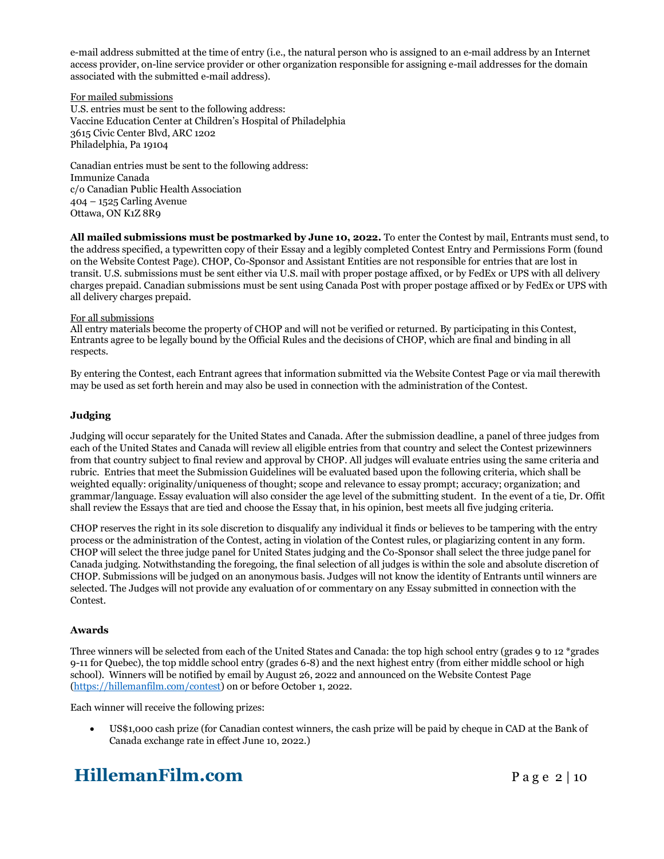e-mail address submitted at the time of entry (i.e., the natural person who is assigned to an e-mail address by an Internet access provider, on-line service provider or other organization responsible for assigning e-mail addresses for the domain associated with the submitted e-mail address).

For mailed submissions

U.S. entries must be sent to the following address: Vaccine Education Center at Children's Hospital of Philadelphia 3615 Civic Center Blvd, ARC 1202 Philadelphia, Pa 19104

Canadian entries must be sent to the following address: Immunize Canada c/o Canadian Public Health Association 404 – 1525 Carling Avenue Ottawa, ON K1Z 8R9

**All mailed submissions must be postmarked by June 10, 2022.** To enter the Contest by mail, Entrants must send, to the address specified, a typewritten copy of their Essay and a legibly completed Contest Entry and Permissions Form (found on the Website Contest Page). CHOP, Co-Sponsor and Assistant Entities are not responsible for entries that are lost in transit. U.S. submissions must be sent either via U.S. mail with proper postage affixed, or by FedEx or UPS with all delivery charges prepaid. Canadian submissions must be sent using Canada Post with proper postage affixed or by FedEx or UPS with all delivery charges prepaid.

### For all submissions

All entry materials become the property of CHOP and will not be verified or returned. By participating in this Contest, Entrants agree to be legally bound by the Official Rules and the decisions of CHOP, which are final and binding in all respects.

By entering the Contest, each Entrant agrees that information submitted via the Website Contest Page or via mail therewith may be used as set forth herein and may also be used in connection with the administration of the Contest.

### **Judging**

Judging will occur separately for the United States and Canada. After the submission deadline, a panel of three judges from each of the United States and Canada will review all eligible entries from that country and select the Contest prizewinners from that country subject to final review and approval by CHOP. All judges will evaluate entries using the same criteria and rubric. Entries that meet the Submission Guidelines will be evaluated based upon the following criteria, which shall be weighted equally: originality/uniqueness of thought; scope and relevance to essay prompt; accuracy; organization; and grammar/language. Essay evaluation will also consider the age level of the submitting student. In the event of a tie, Dr. Offit shall review the Essays that are tied and choose the Essay that, in his opinion, best meets all five judging criteria.

CHOP reserves the right in its sole discretion to disqualify any individual it finds or believes to be tampering with the entry process or the administration of the Contest, acting in violation of the Contest rules, or plagiarizing content in any form. CHOP will select the three judge panel for United States judging and the Co-Sponsor shall select the three judge panel for Canada judging. Notwithstanding the foregoing, the final selection of all judges is within the sole and absolute discretion of CHOP. Submissions will be judged on an anonymous basis. Judges will not know the identity of Entrants until winners are selected. The Judges will not provide any evaluation of or commentary on any Essay submitted in connection with the Contest.

### **Awards**

Three winners will be selected from each of the United States and Canada: the top high school entry (grades 9 to 12 \*grades 9-11 for Quebec), the top middle school entry (grades 6-8) and the next highest entry (from either middle school or high school). Winners will be notified by email by August 26, 2022 and announced on the Website Contest Page [\(https://hillemanfilm.com/contest\)](https://hillemanfilm.com/contest) on or before October 1, 2022.

Each winner will receive the following prizes:

• US\$1,000 cash prize (for Canadian contest winners, the cash prize will be paid by cheque in CAD at the Bank of Canada exchange rate in effect June 10, 2022.)

# **HillemanFilm.com** Page 2 | 10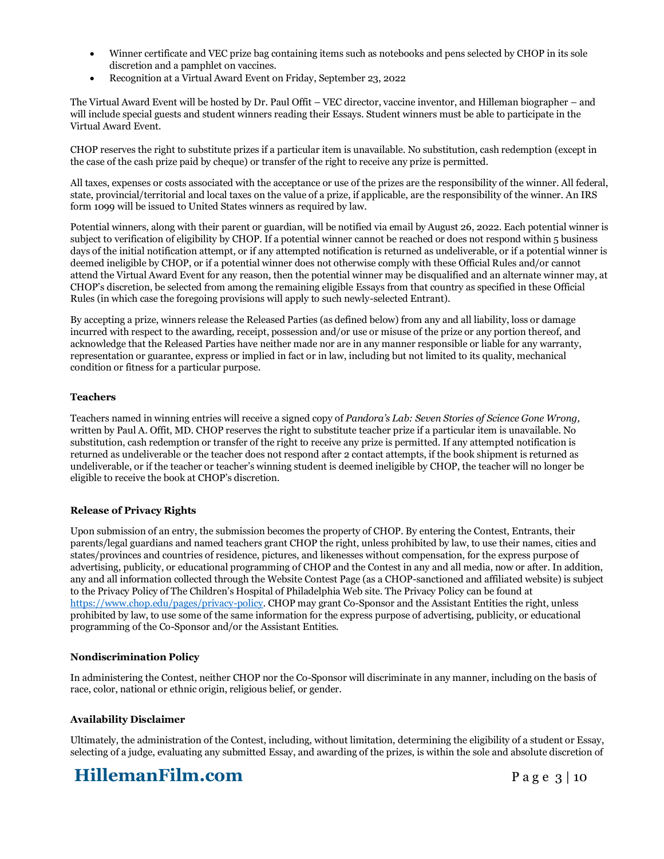- Winner certificate and VEC prize bag containing items such as notebooks and pens selected by CHOP in its sole discretion and a pamphlet on vaccines.
- Recognition at a Virtual Award Event on Friday, September 23, 2022

The Virtual Award Event will be hosted by Dr. Paul Offit – VEC director, vaccine inventor, and Hilleman biographer – and will include special guests and student winners reading their Essays. Student winners must be able to participate in the Virtual Award Event.

CHOP reserves the right to substitute prizes if a particular item is unavailable. No substitution, cash redemption (except in the case of the cash prize paid by cheque) or transfer of the right to receive any prize is permitted.

All taxes, expenses or costs associated with the acceptance or use of the prizes are the responsibility of the winner. All federal, state, provincial/territorial and local taxes on the value of a prize, if applicable, are the responsibility of the winner. An IRS form 1099 will be issued to United States winners as required by law.

Potential winners, along with their parent or guardian, will be notified via email by August 26, 2022. Each potential winner is subject to verification of eligibility by CHOP. If a potential winner cannot be reached or does not respond within 5 business days of the initial notification attempt, or if any attempted notification is returned as undeliverable, or if a potential winner is deemed ineligible by CHOP, or if a potential winner does not otherwise comply with these Official Rules and/or cannot attend the Virtual Award Event for any reason, then the potential winner may be disqualified and an alternate winner may, at CHOP's discretion, be selected from among the remaining eligible Essays from that country as specified in these Official Rules (in which case the foregoing provisions will apply to such newly-selected Entrant).

By accepting a prize, winners release the Released Parties (as defined below) from any and all liability, loss or damage incurred with respect to the awarding, receipt, possession and/or use or misuse of the prize or any portion thereof, and acknowledge that the Released Parties have neither made nor are in any manner responsible or liable for any warranty, representation or guarantee, express or implied in fact or in law, including but not limited to its quality, mechanical condition or fitness for a particular purpose.

### **Teachers**

Teachers named in winning entries will receive a signed copy of *Pandora's Lab: Seven Stories of Science Gone Wrong,* written by Paul A. Offit, MD. CHOP reserves the right to substitute teacher prize if a particular item is unavailable. No substitution, cash redemption or transfer of the right to receive any prize is permitted. If any attempted notification is returned as undeliverable or the teacher does not respond after 2 contact attempts, if the book shipment is returned as undeliverable, or if the teacher or teacher's winning student is deemed ineligible by CHOP, the teacher will no longer be eligible to receive the book at CHOP's discretion.

### **Release of Privacy Rights**

Upon submission of an entry, the submission becomes the property of CHOP. By entering the Contest, Entrants, their parents/legal guardians and named teachers grant CHOP the right, unless prohibited by law, to use their names, cities and states/provinces and countries of residence, pictures, and likenesses without compensation, for the express purpose of advertising, publicity, or educational programming of CHOP and the Contest in any and all media, now or after. In addition, any and all information collected through the Website Contest Page (as a CHOP-sanctioned and affiliated website) is subject to the Privacy Policy of The Children's Hospital of Philadelphia Web site. The Privacy Policy can be found at [https://www.chop.edu/pages/privacy-policy.](https://www.chop.edu/pages/privacy-policy) CHOP may grant Co-Sponsor and the Assistant Entities the right, unless prohibited by law, to use some of the same information for the express purpose of advertising, publicity, or educational programming of the Co-Sponsor and/or the Assistant Entities.

### **Nondiscrimination Policy**

In administering the Contest, neither CHOP nor the Co-Sponsor will discriminate in any manner, including on the basis of race, color, national or ethnic origin, religious belief, or gender.

### **Availability Disclaimer**

Ultimately, the administration of the Contest, including, without limitation, determining the eligibility of a student or Essay, selecting of a judge, evaluating any submitted Essay, and awarding of the prizes, is within the sole and absolute discretion of

# **HillemanFilm.com** Page 3 | 10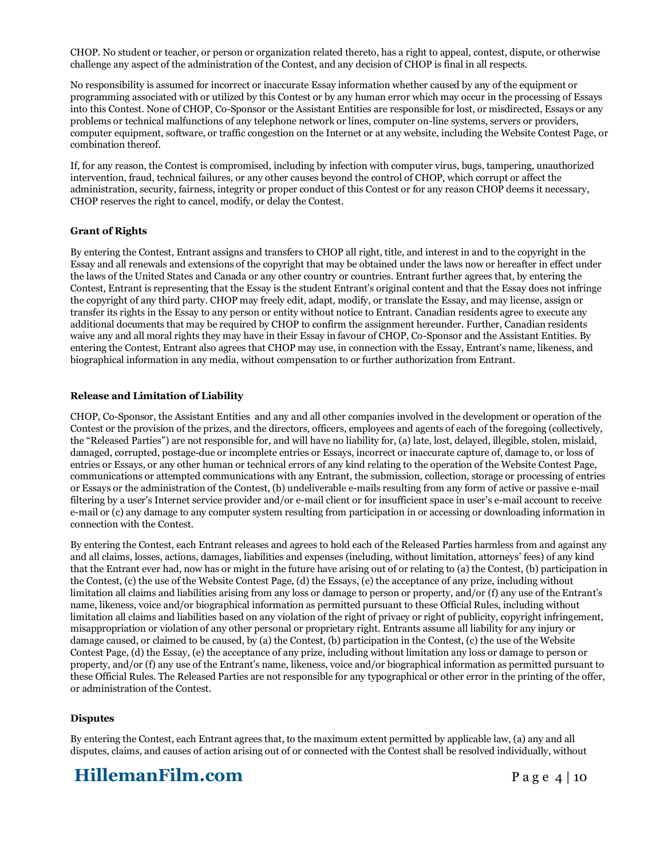CHOP. No student or teacher, or person or organization related thereto, has a right to appeal, contest, dispute, or otherwise challenge any aspect of the administration of the Contest, and any decision of CHOP is final in all respects.

No responsibility is assumed for incorrect or inaccurate Essay information whether caused by any of the equipment or programming associated with or utilized by this Contest or by any human error which may occur in the processing of Essays into this Contest. None of CHOP, Co-Sponsor or the Assistant Entities are responsible for lost, or misdirected, Essays or any problems or technical malfunctions of any telephone network or lines, computer on-line systems, servers or providers, computer equipment, software, or traffic congestion on the Internet or at any website, including the Website Contest Page, or combination thereof.

If, for any reason, the Contest is compromised, including by infection with computer virus, bugs, tampering, unauthorized intervention, fraud, technical failures, or any other causes beyond the control of CHOP, which corrupt or affect the administration, security, fairness, integrity or proper conduct of this Contest or for any reason CHOP deems it necessary, CHOP reserves the right to cancel, modify, or delay the Contest.

### **Grant of Rights**

By entering the Contest, Entrant assigns and transfers to CHOP all right, title, and interest in and to the copyright in the Essay and all renewals and extensions of the copyright that may be obtained under the laws now or hereafter in effect under the laws of the United States and Canada or any other country or countries. Entrant further agrees that, by entering the Contest, Entrant is representing that the Essay is the student Entrant's original content and that the Essay does not infringe the copyright of any third party. CHOP may freely edit, adapt, modify, or translate the Essay, and may license, assign or transfer its rights in the Essay to any person or entity without notice to Entrant. Canadian residents agree to execute any additional documents that may be required by CHOP to confirm the assignment hereunder. Further, Canadian residents waive any and all moral rights they may have in their Essay in favour of CHOP, Co-Sponsor and the Assistant Entities. By entering the Contest, Entrant also agrees that CHOP may use, in connection with the Essay, Entrant's name, likeness, and biographical information in any media, without compensation to or further authorization from Entrant.

### **Release and Limitation of Liability**

CHOP, Co-Sponsor, the Assistant Entities and any and all other companies involved in the development or operation of the Contest or the provision of the prizes, and the directors, officers, employees and agents of each of the foregoing (collectively, the "Released Parties") are not responsible for, and will have no liability for, (a) late, lost, delayed, illegible, stolen, mislaid, damaged, corrupted, postage-due or incomplete entries or Essays, incorrect or inaccurate capture of, damage to, or loss of entries or Essays, or any other human or technical errors of any kind relating to the operation of the Website Contest Page, communications or attempted communications with any Entrant, the submission, collection, storage or processing of entries or Essays or the administration of the Contest, (b) undeliverable e-mails resulting from any form of active or passive e-mail filtering by a user's Internet service provider and/or e-mail client or for insufficient space in user's e-mail account to receive e-mail or (c) any damage to any computer system resulting from participation in or accessing or downloading information in connection with the Contest.

By entering the Contest, each Entrant releases and agrees to hold each of the Released Parties harmless from and against any and all claims, losses, actions, damages, liabilities and expenses (including, without limitation, attorneys' fees) of any kind that the Entrant ever had, now has or might in the future have arising out of or relating to (a) the Contest, (b) participation in the Contest, (c) the use of the Website Contest Page, (d) the Essays, (e) the acceptance of any prize, including without limitation all claims and liabilities arising from any loss or damage to person or property, and/or (f) any use of the Entrant's name, likeness, voice and/or biographical information as permitted pursuant to these Official Rules, including without limitation all claims and liabilities based on any violation of the right of privacy or right of publicity, copyright infringement, misappropriation or violation of any other personal or proprietary right. Entrants assume all liability for any injury or damage caused, or claimed to be caused, by (a) the Contest, (b) participation in the Contest, (c) the use of the Website Contest Page, (d) the Essay, (e) the acceptance of any prize, including without limitation any loss or damage to person or property, and/or (f) any use of the Entrant's name, likeness, voice and/or biographical information as permitted pursuant to these Official Rules. The Released Parties are not responsible for any typographical or other error in the printing of the offer, or administration of the Contest.

### **Disputes**

By entering the Contest, each Entrant agrees that, to the maximum extent permitted by applicable law, (a) any and all disputes, claims, and causes of action arising out of or connected with the Contest shall be resolved individually, without

# **HillemanFilm.com** Page 4 | 10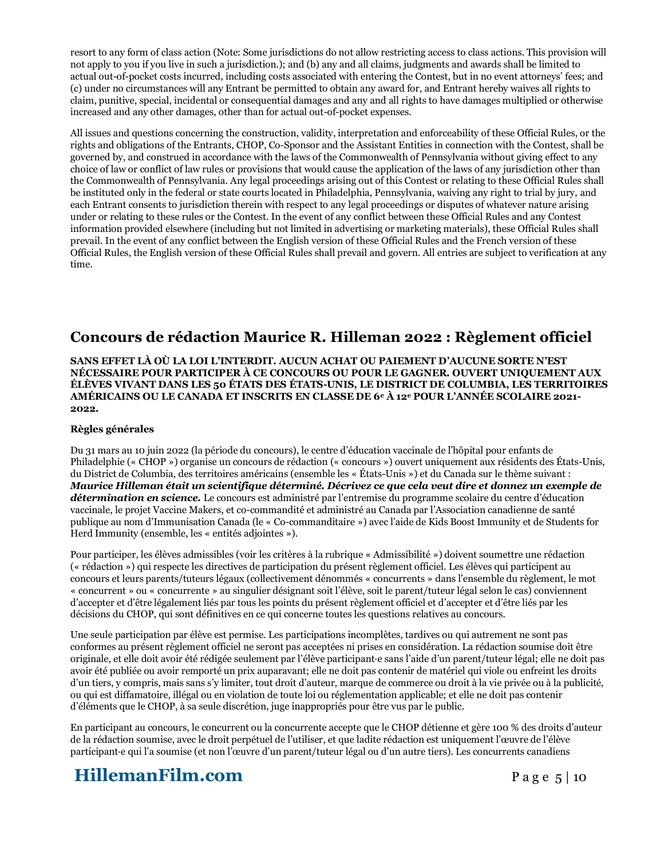resort to any form of class action (Note: Some jurisdictions do not allow restricting access to class actions. This provision will not apply to you if you live in such a jurisdiction.); and (b) any and all claims, judgments and awards shall be limited to actual out-of-pocket costs incurred, including costs associated with entering the Contest, but in no event attorneys' fees; and (c) under no circumstances will any Entrant be permitted to obtain any award for, and Entrant hereby waives all rights to claim, punitive, special, incidental or consequential damages and any and all rights to have damages multiplied or otherwise increased and any other damages, other than for actual out-of-pocket expenses.

All issues and questions concerning the construction, validity, interpretation and enforceability of these Official Rules, or the rights and obligations of the Entrants, CHOP, Co-Sponsor and the Assistant Entities in connection with the Contest, shall be governed by, and construed in accordance with the laws of the Commonwealth of Pennsylvania without giving effect to any choice of law or conflict of law rules or provisions that would cause the application of the laws of any jurisdiction other than the Commonwealth of Pennsylvania. Any legal proceedings arising out of this Contest or relating to these Official Rules shall be instituted only in the federal or state courts located in Philadelphia, Pennsylvania, waiving any right to trial by jury, and each Entrant consents to jurisdiction therein with respect to any legal proceedings or disputes of whatever nature arising under or relating to these rules or the Contest. In the event of any conflict between these Official Rules and any Contest information provided elsewhere (including but not limited in advertising or marketing materials), these Official Rules shall prevail. In the event of any conflict between the English version of these Official Rules and the French version of these Official Rules, the English version of these Official Rules shall prevail and govern. All entries are subject to verification at any time.

### **Concours de rédaction Maurice R. Hilleman 2022 : Règlement officiel**

**SANS EFFET LÀ OÙ LA LOI L'INTERDIT. AUCUN ACHAT OU PAIEMENT D'AUCUNE SORTE N'EST NÉCESSAIRE POUR PARTICIPER À CE CONCOURS OU POUR LE GAGNER. OUVERT UNIQUEMENT AUX ÉLÈVES VIVANT DANS LES 50 ÉTATS DES ÉTATS-UNIS, LE DISTRICT DE COLUMBIA, LES TERRITOIRES AMÉRICAINS OU LE CANADA ET INSCRITS EN CLASSE DE 6<sup>e</sup> À 12<sup>e</sup> POUR L'ANNÉE SCOLAIRE 2021- 2022.**

### **Règles générales**

Du 31 mars au 10 juin 2022 (la période du concours), le centre d'éducation vaccinale de l'hôpital pour enfants de Philadelphie (« CHOP ») organise un concours de rédaction (« concours ») ouvert uniquement aux résidents des États-Unis, du District de Columbia, des territoires américains (ensemble les « États-Unis ») et du Canada sur le thème suivant : *Maurice Hilleman était un scientifique déterminé. Décrivez ce que cela veut dire et donnez un exemple de détermination en science.* Le concours est administré par l'entremise du programme scolaire du centre d'éducation vaccinale, le projet Vaccine Makers, et co-commandité et administré au Canada par l'Association canadienne de santé publique au nom d'Immunisation Canada (le « Co-commanditaire ») avec l'aide de Kids Boost Immunity et de Students for Herd Immunity (ensemble, les « entités adjointes »).

Pour participer, les élèves admissibles (voir les critères à la rubrique « Admissibilité ») doivent soumettre une rédaction (« rédaction ») qui respecte les directives de participation du présent règlement officiel. Les élèves qui participent au concours et leurs parents/tuteurs légaux (collectivement dénommés « concurrents » dans l'ensemble du règlement, le mot « concurrent » ou « concurrente » au singulier désignant soit l'élève, soit le parent/tuteur légal selon le cas) conviennent d'accepter et d'être légalement liés par tous les points du présent règlement officiel et d'accepter et d'être liés par les décisions du CHOP, qui sont définitives en ce qui concerne toutes les questions relatives au concours.

Une seule participation par élève est permise. Les participations incomplètes, tardives ou qui autrement ne sont pas conformes au présent règlement officiel ne seront pas acceptées ni prises en considération. La rédaction soumise doit être originale, et elle doit avoir été rédigée seulement par l'élève participant·e sans l'aide d'un parent/tuteur légal; elle ne doit pas avoir été publiée ou avoir remporté un prix auparavant; elle ne doit pas contenir de matériel qui viole ou enfreint les droits d'un tiers, y compris, mais sans s'y limiter, tout droit d'auteur, marque de commerce ou droit à la vie privée ou à la publicité, ou qui est diffamatoire, illégal ou en violation de toute loi ou réglementation applicable; et elle ne doit pas contenir d'éléments que le CHOP, à sa seule discrétion, juge inappropriés pour être vus par le public.

En participant au concours, le concurrent ou la concurrente accepte que le CHOP détienne et gère 100 % des droits d'auteur de la rédaction soumise, avec le droit perpétuel de l'utiliser, et que ladite rédaction est uniquement l'œuvre de l'élève participant·e qui l'a soumise (et non l'œuvre d'un parent/tuteur légal ou d'un autre tiers). Les concurrents canadiens

# **HillemanFilm.com** Page 5 | 10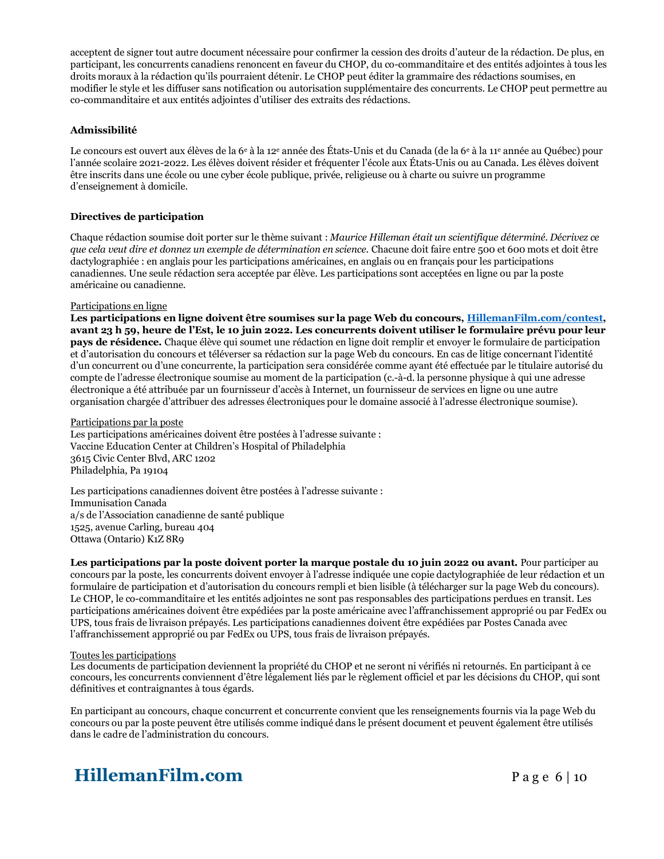acceptent de signer tout autre document nécessaire pour confirmer la cession des droits d'auteur de la rédaction. De plus, en participant, les concurrents canadiens renoncent en faveur du CHOP, du co-commanditaire et des entités adjointes à tous les droits moraux à la rédaction qu'ils pourraient détenir. Le CHOP peut éditer la grammaire des rédactions soumises, en modifier le style et les diffuser sans notification ou autorisation supplémentaire des concurrents. Le CHOP peut permettre au co-commanditaire et aux entités adjointes d'utiliser des extraits des rédactions.

### **Admissibilité**

Le concours est ouvert aux élèves de la 6<sup>e</sup> à la 12<sup>e</sup> année des États-Unis et du Canada (de la 6<sup>e</sup> à la 11<sup>e</sup> année au Québec) pour l'année scolaire 2021-2022. Les élèves doivent résider et fréquenter l'école aux États-Unis ou au Canada. Les élèves doivent être inscrits dans une école ou une cyber école publique, privée, religieuse ou à charte ou suivre un programme d'enseignement à domicile.

### **Directives de participation**

Chaque rédaction soumise doit porter sur le thème suivant : *Maurice Hilleman était un scientifique déterminé. Décrivez ce que cela veut dire et donnez un exemple de détermination en science.* Chacune doit faire entre 500 et 600 mots et doit être dactylographiée : en anglais pour les participations américaines, en anglais ou en français pour les participations canadiennes. Une seule rédaction sera acceptée par élève. Les participations sont acceptées en ligne ou par la poste américaine ou canadienne.

### Participations en ligne

**Les participations en ligne doivent être soumises sur la page Web du concours, [HillemanFilm.com/contest,](https://hillemanfilm.com/contest) avant 23 h 59, heure de l'Est, le 10 juin 2022. Les concurrents doivent utiliser le formulaire prévu pour leur pays de résidence.** Chaque élève qui soumet une rédaction en ligne doit remplir et envoyer le formulaire de participation et d'autorisation du concours et téléverser sa rédaction sur la page Web du concours. En cas de litige concernant l'identité d'un concurrent ou d'une concurrente, la participation sera considérée comme ayant été effectuée par le titulaire autorisé du compte de l'adresse électronique soumise au moment de la participation (c.-à-d. la personne physique à qui une adresse électronique a été attribuée par un fournisseur d'accès à Internet, un fournisseur de services en ligne ou une autre organisation chargée d'attribuer des adresses électroniques pour le domaine associé à l'adresse électronique soumise).

#### Participations par la poste

Les participations américaines doivent être postées à l'adresse suivante : Vaccine Education Center at Children's Hospital of Philadelphia 3615 Civic Center Blvd, ARC 1202 Philadelphia, Pa 19104

Les participations canadiennes doivent être postées à l'adresse suivante : Immunisation Canada a/s de l'Association canadienne de santé publique 1525, avenue Carling, bureau 404 Ottawa (Ontario) K1Z 8R9

**Les participations par la poste doivent porter la marque postale du 10 juin 2022 ou avant.** Pour participer au concours par la poste, les concurrents doivent envoyer à l'adresse indiquée une copie dactylographiée de leur rédaction et un formulaire de participation et d'autorisation du concours rempli et bien lisible (à télécharger sur la page Web du concours). Le CHOP, le co-commanditaire et les entités adjointes ne sont pas responsables des participations perdues en transit. Les participations américaines doivent être expédiées par la poste américaine avec l'affranchissement approprié ou par FedEx ou UPS, tous frais de livraison prépayés. Les participations canadiennes doivent être expédiées par Postes Canada avec l'affranchissement approprié ou par FedEx ou UPS, tous frais de livraison prépayés.

#### Toutes les participations

Les documents de participation deviennent la propriété du CHOP et ne seront ni vérifiés ni retournés. En participant à ce concours, les concurrents conviennent d'être légalement liés par le règlement officiel et par les décisions du CHOP, qui sont définitives et contraignantes à tous égards.

En participant au concours, chaque concurrent et concurrente convient que les renseignements fournis via la page Web du concours ou par la poste peuvent être utilisés comme indiqué dans le présent document et peuvent également être utilisés dans le cadre de l'administration du concours.

# **HillemanFilm.com** Page 6 | 10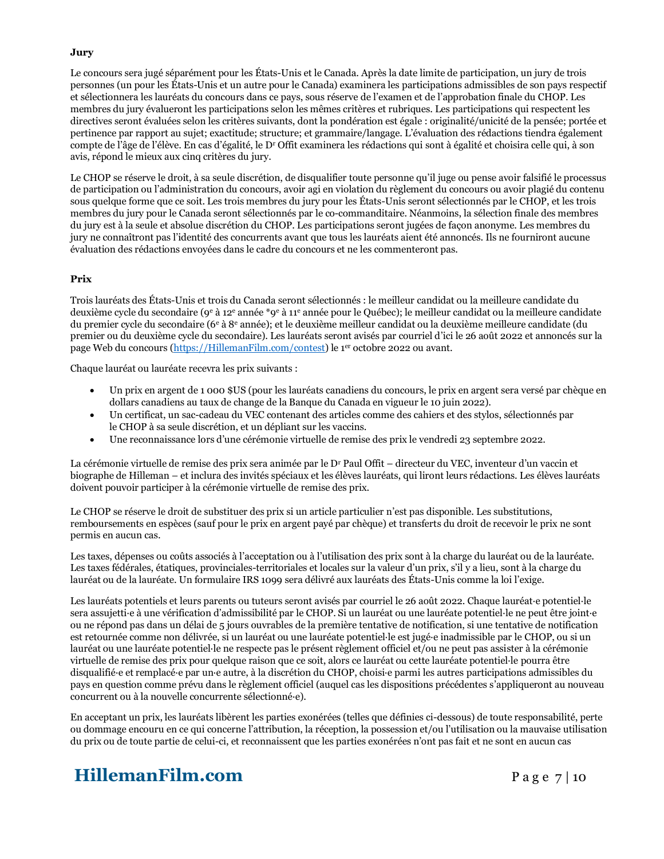### **Jury**

Le concours sera jugé séparément pour les États-Unis et le Canada. Après la date limite de participation, un jury de trois personnes (un pour les États-Unis et un autre pour le Canada) examinera les participations admissibles de son pays respectif et sélectionnera les lauréats du concours dans ce pays, sous réserve de l'examen et de l'approbation finale du CHOP. Les membres du jury évalueront les participations selon les mêmes critères et rubriques. Les participations qui respectent les directives seront évaluées selon les critères suivants, dont la pondération est égale : originalité/unicité de la pensée; portée et pertinence par rapport au sujet; exactitude; structure; et grammaire/langage. L'évaluation des rédactions tiendra également compte de l'âge de l'élève. En cas d'égalité, le D<sup>r</sup> Offit examinera les rédactions qui sont à égalité et choisira celle qui, à son avis, répond le mieux aux cinq critères du jury.

Le CHOP se réserve le droit, à sa seule discrétion, de disqualifier toute personne qu'il juge ou pense avoir falsifié le processus de participation ou l'administration du concours, avoir agi en violation du règlement du concours ou avoir plagié du contenu sous quelque forme que ce soit. Les trois membres du jury pour les États-Unis seront sélectionnés par le CHOP, et les trois membres du jury pour le Canada seront sélectionnés par le co-commanditaire. Néanmoins, la sélection finale des membres du jury est à la seule et absolue discrétion du CHOP. Les participations seront jugées de façon anonyme. Les membres du jury ne connaîtront pas l'identité des concurrents avant que tous les lauréats aient été annoncés. Ils ne fourniront aucune évaluation des rédactions envoyées dans le cadre du concours et ne les commenteront pas.

### **Prix**

Trois lauréats des États-Unis et trois du Canada seront sélectionnés : le meilleur candidat ou la meilleure candidate du deuxième cycle du secondaire (9<sup>e</sup> à 12<sup>e</sup> année \*9<sup>e</sup> à 11<sup>e</sup> année pour le Québec); le meilleur candidat ou la meilleure candidate du premier cycle du secondaire (6<sup>e</sup> à 8<sup>e</sup> année); et le deuxième meilleur candidat ou la deuxième meilleure candidate (du premier ou du deuxième cycle du secondaire). Les lauréats seront avisés par courriel d'ici le 26 août 2022 et annoncés sur la page Web du concours [\(https://HillemanFilm.com/contest\)](https://hillemanfilm.com/contest) le 1<sup>er</sup> octobre 2022 ou avant.

Chaque lauréat ou lauréate recevra les prix suivants :

- Un prix en argent de 1 000 \$US (pour les lauréats canadiens du concours, le prix en argent sera versé par chèque en dollars canadiens au taux de change de la Banque du Canada en vigueur le 10 juin 2022).
- Un certificat, un sac-cadeau du VEC contenant des articles comme des cahiers et des stylos, sélectionnés par le CHOP à sa seule discrétion, et un dépliant sur les vaccins.
- Une reconnaissance lors d'une cérémonie virtuelle de remise des prix le vendredi 23 septembre 2022.

La cérémonie virtuelle de remise des prix sera animée par le D<sup>r</sup> Paul Offit – directeur du VEC, inventeur d'un vaccin et biographe de Hilleman – et inclura des invités spéciaux et les élèves lauréats, qui liront leurs rédactions. Les élèves lauréats doivent pouvoir participer à la cérémonie virtuelle de remise des prix.

Le CHOP se réserve le droit de substituer des prix si un article particulier n'est pas disponible. Les substitutions, remboursements en espèces (sauf pour le prix en argent payé par chèque) et transferts du droit de recevoir le prix ne sont permis en aucun cas.

Les taxes, dépenses ou coûts associés à l'acceptation ou à l'utilisation des prix sont à la charge du lauréat ou de la lauréate. Les taxes fédérales, étatiques, provinciales-territoriales et locales sur la valeur d'un prix, s'il y a lieu, sont à la charge du lauréat ou de la lauréate. Un formulaire IRS 1099 sera délivré aux lauréats des États-Unis comme la loi l'exige.

Les lauréats potentiels et leurs parents ou tuteurs seront avisés par courriel le 26 août 2022. Chaque lauréat·e potentiel·le sera assujetti·e à une vérification d'admissibilité par le CHOP. Si un lauréat ou une lauréate potentiel·le ne peut être joint·e ou ne répond pas dans un délai de 5 jours ouvrables de la première tentative de notification, si une tentative de notification est retournée comme non délivrée, si un lauréat ou une lauréate potentiel·le est jugé·e inadmissible par le CHOP, ou si un lauréat ou une lauréate potentiel·le ne respecte pas le présent règlement officiel et/ou ne peut pas assister à la cérémonie virtuelle de remise des prix pour quelque raison que ce soit, alors ce lauréat ou cette lauréate potentiel·le pourra être disqualifié·e et remplacé·e par un·e autre, à la discrétion du CHOP, choisi·e parmi les autres participations admissibles du pays en question comme prévu dans le règlement officiel (auquel cas les dispositions précédentes s'appliqueront au nouveau concurrent ou à la nouvelle concurrente sélectionné·e).

En acceptant un prix, les lauréats libèrent les parties exonérées (telles que définies ci-dessous) de toute responsabilité, perte ou dommage encouru en ce qui concerne l'attribution, la réception, la possession et/ou l'utilisation ou la mauvaise utilisation du prix ou de toute partie de celui-ci, et reconnaissent que les parties exonérées n'ont pas fait et ne sont en aucun cas

# **HillemanFilm.com** Page 7 | 10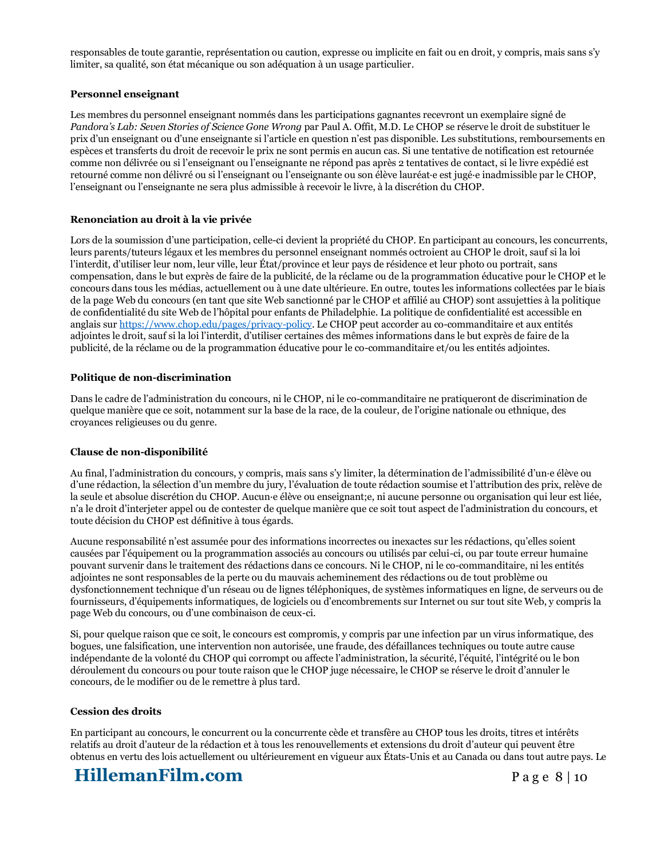responsables de toute garantie, représentation ou caution, expresse ou implicite en fait ou en droit, y compris, mais sans s'y limiter, sa qualité, son état mécanique ou son adéquation à un usage particulier.

### **Personnel enseignant**

Les membres du personnel enseignant nommés dans les participations gagnantes recevront un exemplaire signé de *Pandora's Lab: Seven Stories of Science Gone Wrong* par Paul A. Offit, M.D. Le CHOP se réserve le droit de substituer le prix d'un enseignant ou d'une enseignante si l'article en question n'est pas disponible. Les substitutions, remboursements en espèces et transferts du droit de recevoir le prix ne sont permis en aucun cas. Si une tentative de notification est retournée comme non délivrée ou si l'enseignant ou l'enseignante ne répond pas après 2 tentatives de contact, si le livre expédié est retourné comme non délivré ou si l'enseignant ou l'enseignante ou son élève lauréat·e est jugé·e inadmissible par le CHOP, l'enseignant ou l'enseignante ne sera plus admissible à recevoir le livre, à la discrétion du CHOP.

#### **Renonciation au droit à la vie privée**

Lors de la soumission d'une participation, celle-ci devient la propriété du CHOP. En participant au concours, les concurrents, leurs parents/tuteurs légaux et les membres du personnel enseignant nommés octroient au CHOP le droit, sauf si la loi l'interdit, d'utiliser leur nom, leur ville, leur État/province et leur pays de résidence et leur photo ou portrait, sans compensation, dans le but exprès de faire de la publicité, de la réclame ou de la programmation éducative pour le CHOP et le concours dans tous les médias, actuellement ou à une date ultérieure. En outre, toutes les informations collectées par le biais de la page Web du concours (en tant que site Web sanctionné par le CHOP et affilié au CHOP) sont assujetties à la politique de confidentialité du site Web de l'hôpital pour enfants de Philadelphie. La politique de confidentialité est accessible en anglais sur [https://www.chop.edu/pages/privacy-policy.](https://www.chop.edu/pages/privacy-policy) Le CHOP peut accorder au co-commanditaire et aux entités adjointes le droit, sauf si la loi l'interdit, d'utiliser certaines des mêmes informations dans le but exprès de faire de la publicité, de la réclame ou de la programmation éducative pour le co-commanditaire et/ou les entités adjointes.

#### **Politique de non-discrimination**

Dans le cadre de l'administration du concours, ni le CHOP, ni le co-commanditaire ne pratiqueront de discrimination de quelque manière que ce soit, notamment sur la base de la race, de la couleur, de l'origine nationale ou ethnique, des croyances religieuses ou du genre.

#### **Clause de non-disponibilité**

Au final, l'administration du concours, y compris, mais sans s'y limiter, la détermination de l'admissibilité d'un·e élève ou d'une rédaction, la sélection d'un membre du jury, l'évaluation de toute rédaction soumise et l'attribution des prix, relève de la seule et absolue discrétion du CHOP. Aucun·e élève ou enseignant;e, ni aucune personne ou organisation qui leur est liée, n'a le droit d'interjeter appel ou de contester de quelque manière que ce soit tout aspect de l'administration du concours, et toute décision du CHOP est définitive à tous égards.

Aucune responsabilité n'est assumée pour des informations incorrectes ou inexactes sur les rédactions, qu'elles soient causées par l'équipement ou la programmation associés au concours ou utilisés par celui-ci, ou par toute erreur humaine pouvant survenir dans le traitement des rédactions dans ce concours. Ni le CHOP, ni le co-commanditaire, ni les entités adjointes ne sont responsables de la perte ou du mauvais acheminement des rédactions ou de tout problème ou dysfonctionnement technique d'un réseau ou de lignes téléphoniques, de systèmes informatiques en ligne, de serveurs ou de fournisseurs, d'équipements informatiques, de logiciels ou d'encombrements sur Internet ou sur tout site Web, y compris la page Web du concours, ou d'une combinaison de ceux-ci.

Si, pour quelque raison que ce soit, le concours est compromis, y compris par une infection par un virus informatique, des bogues, une falsification, une intervention non autorisée, une fraude, des défaillances techniques ou toute autre cause indépendante de la volonté du CHOP qui corrompt ou affecte l'administration, la sécurité, l'équité, l'intégrité ou le bon déroulement du concours ou pour toute raison que le CHOP juge nécessaire, le CHOP se réserve le droit d'annuler le concours, de le modifier ou de le remettre à plus tard.

#### **Cession des droits**

En participant au concours, le concurrent ou la concurrente cède et transfère au CHOP tous les droits, titres et intérêts relatifs au droit d'auteur de la rédaction et à tous les renouvellements et extensions du droit d'auteur qui peuvent être obtenus en vertu des lois actuellement ou ultérieurement en vigueur aux États-Unis et au Canada ou dans tout autre pays. Le

# **HillemanFilm.com** Page 8 | 10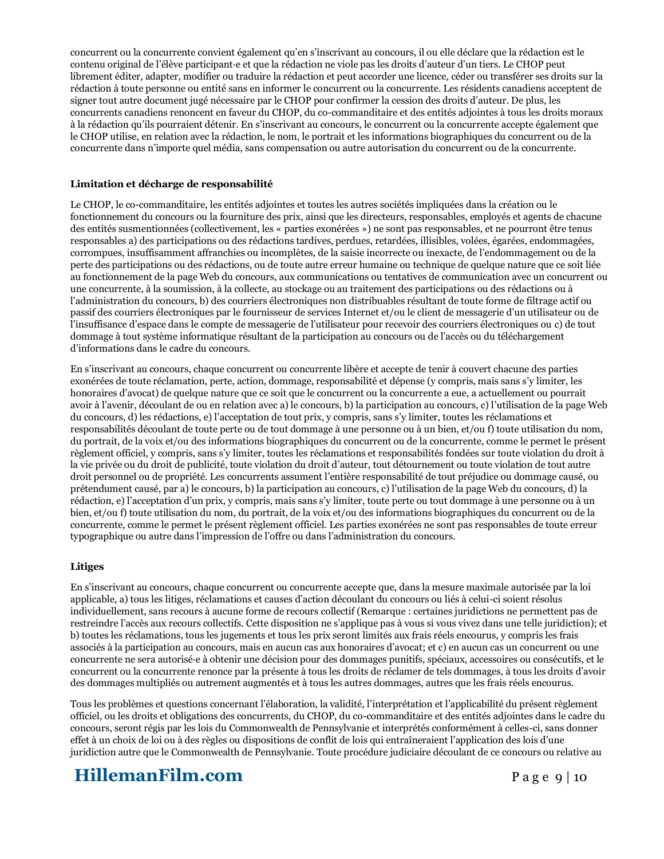concurrent ou la concurrente convient également qu'en s'inscrivant au concours, il ou elle déclare que la rédaction est le contenu original de l'élève participant·e et que la rédaction ne viole pas les droits d'auteur d'un tiers. Le CHOP peut librement éditer, adapter, modifier ou traduire la rédaction et peut accorder une licence, céder ou transférer ses droits sur la rédaction à toute personne ou entité sans en informer le concurrent ou la concurrente. Les résidents canadiens acceptent de signer tout autre document jugé nécessaire par le CHOP pour confirmer la cession des droits d'auteur. De plus, les concurrents canadiens renoncent en faveur du CHOP, du co-commanditaire et des entités adjointes à tous les droits moraux à la rédaction qu'ils pourraient détenir. En s'inscrivant au concours, le concurrent ou la concurrente accepte également que le CHOP utilise, en relation avec la rédaction, le nom, le portrait et les informations biographiques du concurrent ou de la concurrente dans n'importe quel média, sans compensation ou autre autorisation du concurrent ou de la concurrente.

### **Limitation et décharge de responsabilité**

Le CHOP, le co-commanditaire, les entités adjointes et toutes les autres sociétés impliquées dans la création ou le fonctionnement du concours ou la fourniture des prix, ainsi que les directeurs, responsables, employés et agents de chacune des entités susmentionnées (collectivement, les « parties exonérées ») ne sont pas responsables, et ne pourront être tenus responsables a) des participations ou des rédactions tardives, perdues, retardées, illisibles, volées, égarées, endommagées, corrompues, insuffisamment affranchies ou incomplètes, de la saisie incorrecte ou inexacte, de l'endommagement ou de la perte des participations ou des rédactions, ou de toute autre erreur humaine ou technique de quelque nature que ce soit liée au fonctionnement de la page Web du concours, aux communications ou tentatives de communication avec un concurrent ou une concurrente, à la soumission, à la collecte, au stockage ou au traitement des participations ou des rédactions ou à l'administration du concours, b) des courriers électroniques non distribuables résultant de toute forme de filtrage actif ou passif des courriers électroniques par le fournisseur de services Internet et/ou le client de messagerie d'un utilisateur ou de l'insuffisance d'espace dans le compte de messagerie de l'utilisateur pour recevoir des courriers électroniques ou c) de tout dommage à tout système informatique résultant de la participation au concours ou de l'accès ou du téléchargement d'informations dans le cadre du concours.

En s'inscrivant au concours, chaque concurrent ou concurrente libère et accepte de tenir à couvert chacune des parties exonérées de toute réclamation, perte, action, dommage, responsabilité et dépense (y compris, mais sans s'y limiter, les honoraires d'avocat) de quelque nature que ce soit que le concurrent ou la concurrente a eue, a actuellement ou pourrait avoir à l'avenir, découlant de ou en relation avec a) le concours, b) la participation au concours, c) l'utilisation de la page Web du concours, d) les rédactions, e) l'acceptation de tout prix, y compris, sans s'y limiter, toutes les réclamations et responsabilités découlant de toute perte ou de tout dommage à une personne ou à un bien, et/ou f) toute utilisation du nom, du portrait, de la voix et/ou des informations biographiques du concurrent ou de la concurrente, comme le permet le présent règlement officiel, y compris, sans s'y limiter, toutes les réclamations et responsabilités fondées sur toute violation du droit à la vie privée ou du droit de publicité, toute violation du droit d'auteur, tout détournement ou toute violation de tout autre droit personnel ou de propriété. Les concurrents assument l'entière responsabilité de tout préjudice ou dommage causé, ou prétendument causé, par a) le concours, b) la participation au concours, c) l'utilisation de la page Web du concours, d) la rédaction, e) l'acceptation d'un prix, y compris, mais sans s'y limiter, toute perte ou tout dommage à une personne ou à un bien, et/ou f) toute utilisation du nom, du portrait, de la voix et/ou des informations biographiques du concurrent ou de la concurrente, comme le permet le présent règlement officiel. Les parties exonérées ne sont pas responsables de toute erreur typographique ou autre dans l'impression de l'offre ou dans l'administration du concours.

### **Litiges**

En s'inscrivant au concours, chaque concurrent ou concurrente accepte que, dans la mesure maximale autorisée par la loi applicable, a) tous les litiges, réclamations et causes d'action découlant du concours ou liés à celui-ci soient résolus individuellement, sans recours à aucune forme de recours collectif (Remarque : certaines juridictions ne permettent pas de restreindre l'accès aux recours collectifs. Cette disposition ne s'applique pas à vous si vous vivez dans une telle juridiction); et b) toutes les réclamations, tous les jugements et tous les prix seront limités aux frais réels encourus, y compris les frais associés à la participation au concours, mais en aucun cas aux honoraires d'avocat; et c) en aucun cas un concurrent ou une concurrente ne sera autorisé·e à obtenir une décision pour des dommages punitifs, spéciaux, accessoires ou consécutifs, et le concurrent ou la concurrente renonce par la présente à tous les droits de réclamer de tels dommages, à tous les droits d'avoir des dommages multipliés ou autrement augmentés et à tous les autres dommages, autres que les frais réels encourus.

Tous les problèmes et questions concernant l'élaboration, la validité, l'interprétation et l'applicabilité du présent règlement officiel, ou les droits et obligations des concurrents, du CHOP, du co-commanditaire et des entités adjointes dans le cadre du concours, seront régis par les lois du Commonwealth de Pennsylvanie et interprétés conformément à celles-ci, sans donner effet à un choix de loi ou à des règles ou dispositions de conflit de lois qui entraîneraient l'application des lois d'une juridiction autre que le Commonwealth de Pennsylvanie. Toute procédure judiciaire découlant de ce concours ou relative au

# **HillemanFilm.com** Page 9 | 10